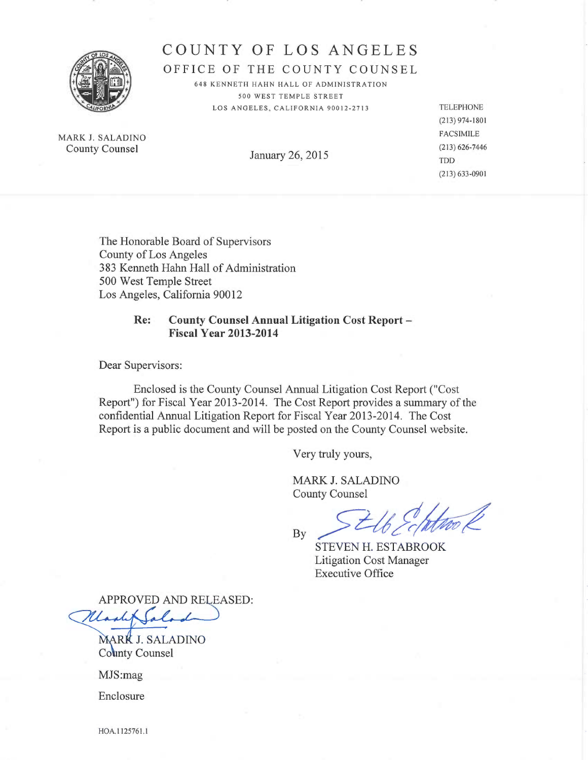

# COUNTY OF LOS ANGELES

OFFICE OF THE COUNTY COUNSEL

648 KENNETH HAHN HALL OF ADMINISTRATION 500 WEST TEMPLE STREET LOS ANGELES, CALIFORNIA 90012-2713 TELEPHONE

MARK J. SALADINO FACSIMILE<br>
County Counsel (213) 626-7446 County Counsel

January 26, 2015  $\frac{100}{\text{TD}}$ 

(213)974-1801 (213)633-0901

The Honorable Board of Supervisors County of Los Angeles 383 Kenneth Hahn Hall of Administration 500 West Temple Street Los Angeles, California 90012

## Re: County Counsel Annual Litigation Cost Report — Fiscal Year 2013-2014

Dear Supervisors:

Enclosed is the County Counsel Annual Litigation Cost Report ("Cost Report") for Fiscal Year 2013-2014. The Cost Report provides a summary of the confidential Annual Litigation Report for Fiscal Year 2013-2014. The Cost Report is a public document and will be posted on the County Counsel website.

Very truly yours,

MARK J. SALADINO County Counsel

 $Bv > t\theta cq$ **By** 

STEVEN H. ESTABROOK Litigation Cost Manager Executive Office

APPROVED AND RELEASED:

MARK J. SALADINO County Counsel

MJS:mag

Enclosure

HOA.1125761.1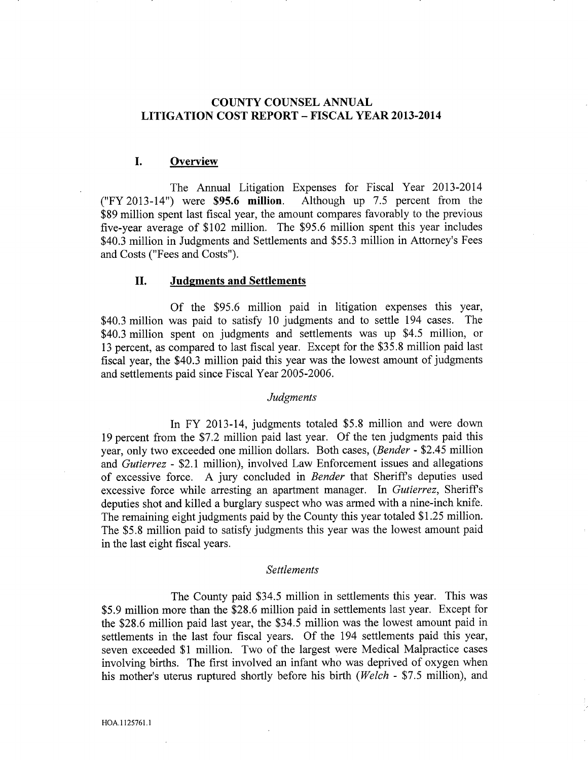# COUNTY COUNSEL ANNUAL LITIGATION COST REPORT — FISCAL YEAR 2013-2014

## I. Overview

The Annual Litigation Expenses for Fiscal Year 2013-2014 ("FY 2013-14") were \$95.6 million. Although up 7.5 percent from the \$89 million spent last fiscal year, the amount compares favorably to the previous five-year average of \$102 million. The \$95.6 million spent this year includes \$40.3 million in Judgments and Settlements and \$55.3 million in Attorney's Fees and Costs ("Fees and Costs").

## II. Judgments and Settlements

Of the \$95.6 million paid in litigation expenses this year, \$40.3 million was paid to satisfy 10 judgments and to settle 194 cases. The \$40.3 million spent on judgments and settlements was up \$4.5 million, or 13 percent, as compared to last fiscal year. Except for the \$35.8 million paid last fiscal year, the \$40.3 million paid this year was the lowest amount of judgments and settlements paid since Fiscal Year 2005-2006.

#### Judgments

In FY 2013-14, judgments totaled \$5.8 million and were down 19 percent from the \$7.2 million paid last year. Of the ten judgments paid this year, only two exceeded one million dollars. Both cases, (Bender - \$2.45 million and Gutierrez - \$2.1 million), involved Law Enforcement issues and allegations of excessive force. A jury concluded in Bender that Sheriffs deputies used excessive force while arresting an apartment manager. In Gutierrez, Sheriffs deputies shot and killed a burglary suspect who was armed with a nine-inch knife. The remaining eight judgments paid by the County this year totaled \$1.25 million. The \$5.8 million paid to satisfy judgments this year was the lowest amount paid in the last eight fiscal years.

#### Settlements

The County paid \$34.5 million in settlements this year. This was \$5.9 million more than the \$28.6 million paid in settlements last year. Except for the \$28.6 million paid last year, the \$34.5 million was the lowest amount paid in settlements in the last four fiscal years. Of the 194 settlements paid this year, seven exceeded \$1 million. Two of the largest were Medical Malpractice cases involving births. The first involved an infant who was deprived of oxygen when his mother's uterus ruptured shortly before his birth (Welch - \$7.5 million), and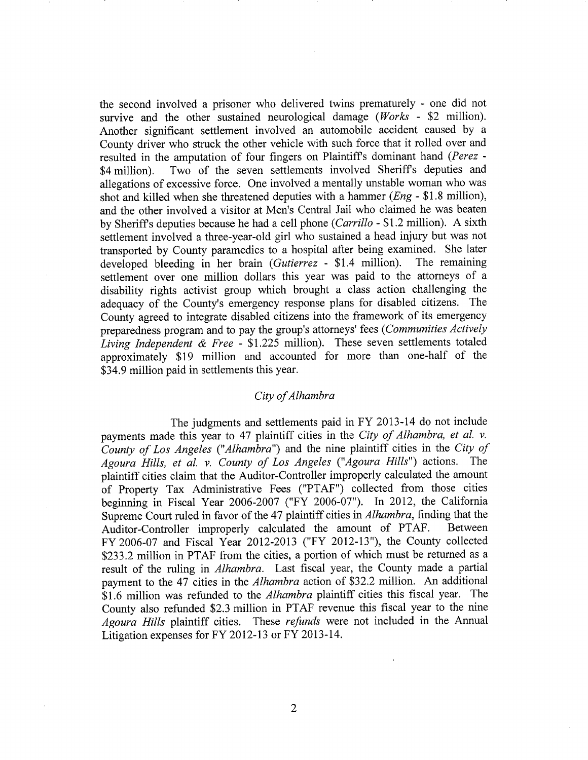the second involved a prisoner who delivered twins prematurely - one did not survive and the other sustained neurological damage ( $Works$  - \$2 million). Another significant settlement involved an automobile accident caused by County driver who struck the other vehicle with such force that it rolled over and resulted in the amputation of four fingers on Plaintiff's dominant hand (Perez -\$4 million). Two of the seven settlements involved Sheriff's deputies and allegations of excessive force. One involved a mentally unstable woman who was shot and killed when she threatened deputies with a hammer ( $Eng - $1.8$  million), and the other involved a visitor at Men's Central Jail who claimed he was beaten by Sheriff's deputies because he had a cell phone (Carrillo - \$1.2 million). A sixth settlement involved athree-year-old girl who sustained a head injury but was not transported by County paramedics to a hospital after being examined. She later developed bleeding in her brain (Gutierrez - \$1.4 million). The remaining developed bleeding in her brain (Gutierrez - \$1.4 million). settlement over one million dollars this year was paid to the attorneys of a disability rights activist group which brought a class action challenging the adequacy of the County's emergency response plans for disabled citizens. The County agreed to integrate disabled citizens into the framework of its emergency preparedness program and to pay the group's attorneys' fees (Communities Actively Living Independent & Free -  $$1.225$  million). These seven settlements totaled approximately \$19 million and accounted for more than one-half of the \$34.9 million paid in settlements this year.

## City of Alhambra

The judgments and settlements paid in FY 2013-14 do not include payments made this year to 47 plaintiff cities in the City of Alhambra, et al. v. County of Los Angeles ("Alhambra") and the nine plaintiff cities in the City of Agoura Hills, et al. v. County of Los Angeles ("Agoura Hills") actions. The plaintiff cities claim that the Auditor-Controller improperly calculated the amount of Property Tax Administrative Fees ("PTAF") collected from those cities beginning in Fiscal Year 2006-2007 ("FY 2006-07"). In 2012, the California Supreme Court ruled in favor of the 47 plaintiff cities in Alhambra, finding that the Auditor-Controller improperly calculated the amount of PTAF. Between FY 2006-07 and Fiscal Year 2012-2013 ("FY 2012-13"), the County collected \$233.2 million in PTAF from the cities, a portion of which must be returned as a result of the ruling in Alhambra. Last fiscal year, the County made a partial payment to the 47 cities in the Alhambra action of \$32.2 million. An additional \$1.6 million was refunded to the *Alhambra* plaintiff cities this fiscal year. The County also refunded \$2.3 million in PTAF revenue this fiscal year to the nine Agoura Hills plaintiff cities. These refunds were not included in the Annual Litigation expenses for FY 2012-13 or FY 2013-14.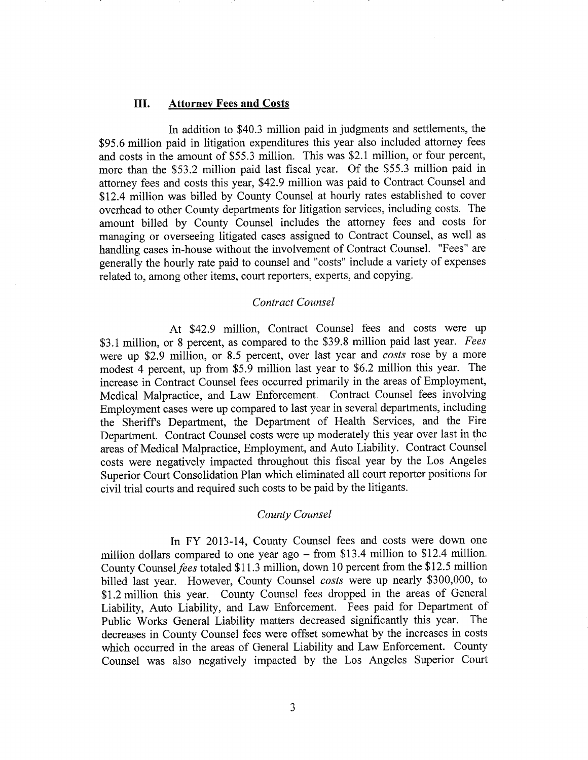#### III. Attorney Fees and Costs

In addition to \$40.3 million paid in judgments and settlements, the \$95.6 million paid in litigation expenditures this year also included attorney fees and costs in the amount of \$55.3 million. This was \$2.1 million, or four percent, more than the \$53.2 million paid last fiscal year. Of the \$55.3 million paid in attorney fees and costs this year, \$42.9 million was paid to Contract Counsel and \$12.4 million was billed by County Counsel at hourly rates established to cover overhead to other County departments for litigation services, including costs. The amount billed by County Counsel includes the attorney fees and costs for managing or overseeing litigated cases assigned to Contract Counsel, as well as handling cases in-house without the involvement of Contract Counsel. "Fees" are generally the hourly rate paid to counsel and "costs" include a variety of expenses related to, among other items, court reporters, experts, and copying.

#### Contract Counsel

At \$42.9 million, Contract Counsel fees and costs were up \$3.1 million, or 8 percent, as compared to the \$39.8 million paid last year. Fees were up \$2.9 million, or 8.5 percent, over last year and costs rose by a more modest 4 percent, up from \$5.9 million last year to \$6.2 million this year. The increase in Contract Counsel fees occurred primarily in the areas of Employment, Medical Malpractice, and Law Enforcement. Contract Counsel fees involving Employment cases were up compared to last year in several departments, including the Sheriffs Department, the Department of Health Services, and the Fire Department. Contract Counsel costs were up moderately this year over last in the areas of Medical Malpractice, Employment, and Auto Liability. Contract Counsel costs were negatively impacted throughout this fiscal year by the Los Angeles Superior Court Consolidation Plan which eliminated all court reporter positions for civil trial courts and required such costs to be paid by the litigants.

## County Counsel

In FY 2013-14, County Counsel fees and costs were down one million dollars compared to one year ago  $-$  from \$13.4 million to \$12.4 million. County Counsel fees totaled \$11.3 million, down 10 percent from the \$12.5 million billed last year. However, County Counsel costs were up nearly \$300,000, to \$1.2 million this year. County Counsel fees dropped in the areas of General Liability, Auto Liability, and Law Enforcement. Fees paid for Department of Public Works General Liability matters decreased significantly this year. The decreases in County Counsel fees were offset somewhat by the increases in costs which occurred in the areas of General Liability and Law Enforcement. County Counsel was also negatively impacted by the Los Angeles Superior Court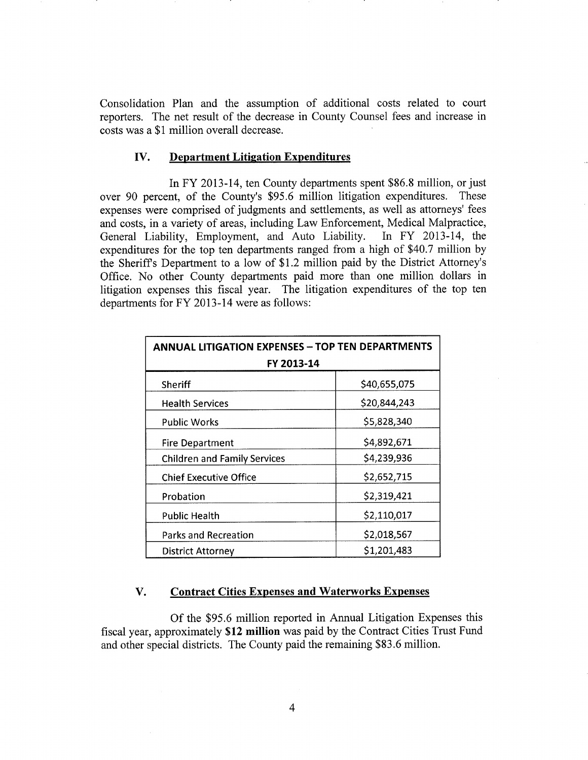Consolidation Plan and the assumption of additional costs related to court reporters, The net result of the decrease in County Counsel fees and increase in costs was a \$1 million overall decrease.

#### IV. Department Litigation Expenditures

In FY 2013-14, ten County departments spent \$86.8 million, or just over 90 percent, of the County's \$95.6 million litigation expenditures. These expenses were comprised of judgments and settlements, as well as attorneys' fees and costs, in a variety of areas, including Law Enforcement, Medical Malpractice, General Liability, Employment, and Auto Liability. In FY 2013-14, the expenditures for the top ten departments ranged from a high of \$40.7 million by the Sheriffs Department to a low of \$1.2 million paid by the District Attorney's Office. No other County departments paid more than one million dollars in litigation expenses this fiscal year. The litigation expenditures of the top ten departments for FY 2013-14 were as follows:

| <b>ANNUAL LITIGATION EXPENSES - TOP TEN DEPARTMENTS</b><br>FY 2013-14 |              |
|-----------------------------------------------------------------------|--------------|
| Sheriff                                                               | \$40,655,075 |
| <b>Health Services</b>                                                | \$20,844,243 |
| Public Works                                                          | \$5,828,340  |
| <b>Fire Department</b>                                                | \$4,892,671  |
| <b>Children and Family Services</b>                                   | \$4,239,936  |
| <b>Chief Executive Office</b>                                         | \$2,652,715  |
| Probation                                                             | \$2,319,421  |
| <b>Public Health</b>                                                  | \$2,110,017  |
| <b>Parks and Recreation</b>                                           | \$2,018,567  |
| <b>District Attorney</b>                                              | \$1,201,483  |

## V. Contract Cities Expenses and Waterworks Expenses

Of the \$95.6 million reported in Annual Litigation Expenses this fiscal year, approximately \$12 million was paid by the Contract Cities Trust Fund and other special districts. The County paid the remaining \$83.6 million.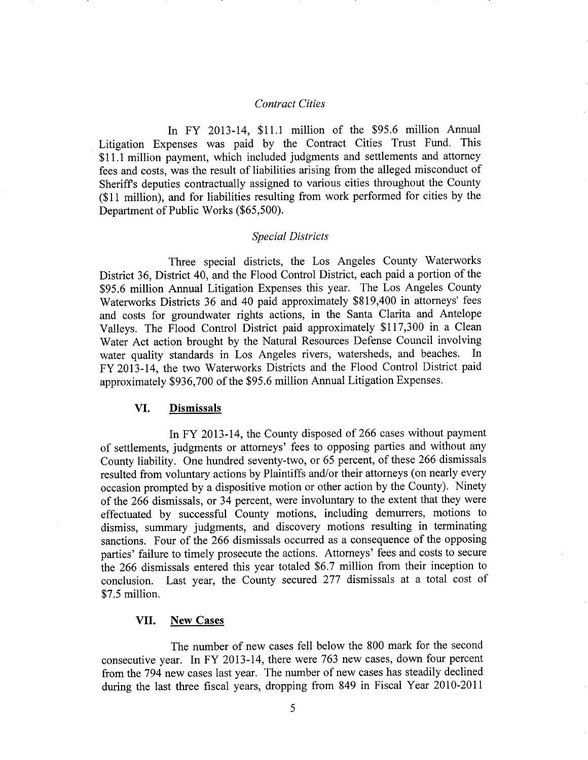#### **Contract Cities**

In FY 2013-14, \$11.1 million of the \$95.6 million Annual Litigation Expenses was paid by the Contract Cities Trust Fund. This \$11.1 million payment, which included judgments and settlements and attorney fees and costs, was the result of liabilities arising from the alleged misconduct of Sheriffs deputies contractually assigned to various cities throughout the County (\$11 million), and for liabilities resulting from work performed for cities by the Department of Public Works (\$65,500).

#### Special Districts

Three special districts, the Los Angeles County Waterworks District 36, District 40, and the Flood Control District, each paid a portion of the \$95.6 million Annual Litigation Expenses this year. The Los Angeles County Waterworks Districts 36 and 40 paid approximately \$819,400 in attorneys' fees and costs for groundwater rights actions, in the Santa Clarita and Antelope Valleys. The Flood Control District paid approximately \$117,300 in a Clean Water Act action brought by the Natural Resources Defense Council involving water quality standards in Los Angeles rivers, watersheds, and beaches. In FY 2013-14, the two Waterworks Districts and the Flood Control District paid approximately \$936,700 of the \$95.6 million Annual Litigation Expenses.

## VI. Dismissals

In FY 2013-14, the County disposed of 266 cases without payment of settlements, judgments or attorneys' fees to opposing parties and without any County liability. One hundred seventy-two, or 65 percent, of these 266 dismissals resulted from voluntary actions by Plaintiffs and/or their attorneys (on nearly every occasion prompted by a diapositive motion or other action by the County). Ninety of the 266 dismissals, or 34 percent, were involuntary to the extent that they were effectuated by successful County motions, including demurrers, motions to dismiss, summary judgments, and discovery motions resulting in terminating sanctions. Four of the 266 dismissals occurred as a consequence of the opposing parties' failure to timely prosecute the actions. Attorneys' fees and costs to secure the 266 dismissals entered this year totaled \$6.7 million from their inception to conclusion. Last year, the County secured 277 dismissals at a total cost of \$7.5 million.

#### VII. New Cases

The number of new cases fell below the 800 mark for the second consecutive year. In FY 2013-14, there were 763 new cases, down four percent from the 794 new cases last year. The number of new cases has steadily declined during the last three fiscal years, dropping from 849 in Fiscal Year 2010-2011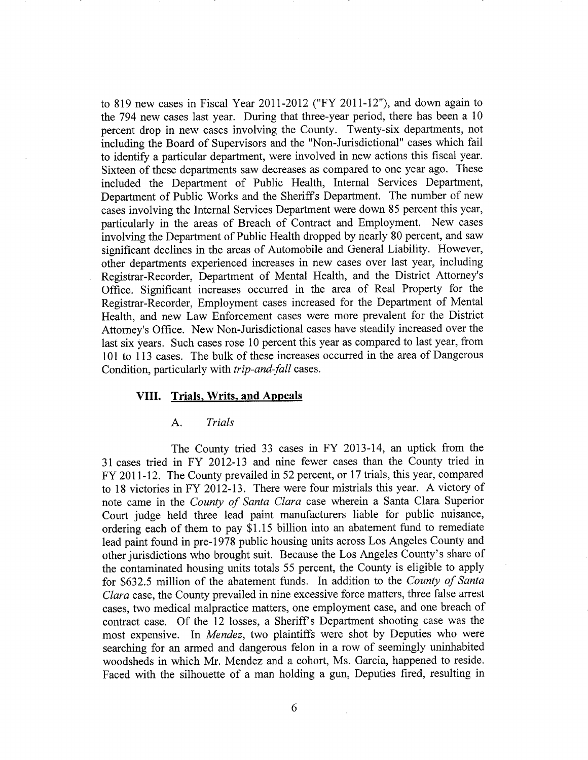to 819 new cases in Fiscal Year 2011-2012 ("FY 2011-12"), and down again to the 794 new cases last year. During that three-year period, there has been a 10 percent drop in new cases involving the County. Twenty-six departments, not including the Board of Supervisors and the "Non-Jurisdictional" cases which fail to identify a particular department, were involved in new actions this fiscal year. Sixteen of these departments saw decreases as compared to one year ago. These included the Department of Public Health, Internal Services Department, Department of Public Works and the Sheriffs Department. The number of new cases involving the Internal Services Department were down 85 percent this year, particularly in the areas of Breach of Contract and Employment. New cases involving the Department of Public Health dropped by nearly 80 percent, and saw significant declines in the areas of Automobile and General Liability. However, other departments experienced increases in new cases over last year, including Registrar-Recorder, Department of Mental Health, and the District Attorney's Office. Significant increases occurred in the area of Real Property for the Registrar-Recorder, Employment cases increased for the Department of Mental Health, and new Law Enforcement cases were more prevalent for the District Attorney's Office. New Non-Jurisdictional cases have steadily increased over the last six years. Such cases rose 10 percent this year as compared to last year, from 101 to 113 cases. The bulk of these increases occurred in the area of Dangerous Condition, particularly with trip-and-fall cases.

## VIII. Trials, Writs, and Appeals

## A. Trials

The County tried 33 cases in FY 2013-14, an uptick from the 31 cases tried in FY 2012-13 and nine fewer cases than the County tried in FY 2011-12. The County prevailed in 52 percent, or 17 trials, this year, compared to 18 victories in FY 2012-13. There were four mistrials this year. A victory of note came in the County of Santa Clara case wherein a Santa Clara Superior Court judge held three lead paint manufacturers liable for public nuisance, ordering each of them to pay \$1.15 billion into an abatement fund to remediate lead paint found in pre-1978 public housing units across Los Angeles County and other jurisdictions who brought suit. Because the Los Angeles County's share of the contaminated housing units totals 55 percent, the County is eligible to apply for \$632.5 million of the abatement funds. In addition to the County of Santa Clara case, the County prevailed in nine excessive force matters, three false arrest cases, two medical malpractice matters, one employment case, and one breach of contract case. Of the 12 losses, a Sheriff's Department shooting case was the most expensive. In Mendez, two plaintiffs were shot by Deputies who were searching for an armed and dangerous felon in a row of seemingly uninhabited woodsheds in which Mr. Mendez and a cohort, Ms. Garcia, happened to reside. Faced with the silhouette of a man holding a gun, Deputies fired, resulting in